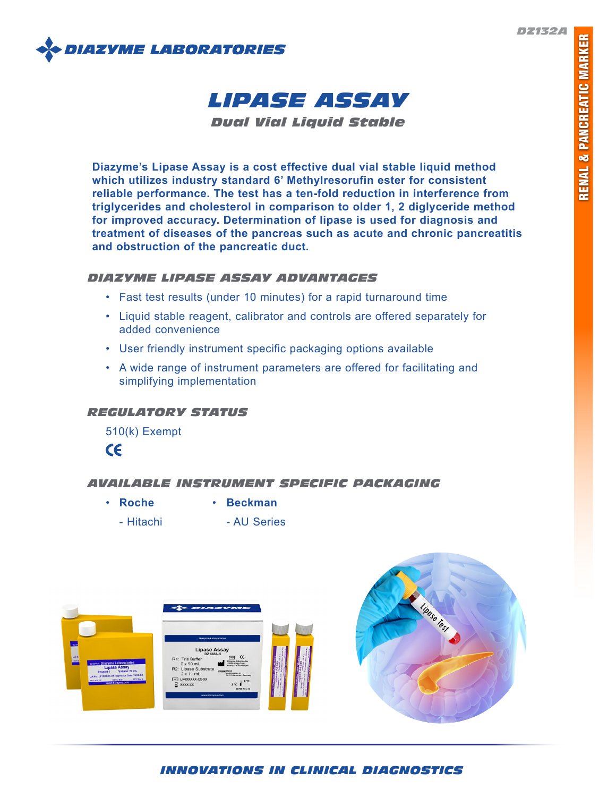

# *LIPASE ASSAY*

*Dual Vial Liquid Stable*

**Diazyme's Lipase Assay is a cost effective dual vial stable liquid method which utilizes industry standard 6' Methylresorufin ester for consistent reliable performance. The test has a ten-fold reduction in interference from triglycerides and cholesterol in comparison to older 1, 2 diglyceride method for improved accuracy. Determination of lipase is used for diagnosis and treatment of diseases of the pancreas such as acute and chronic pancreatitis and obstruction of the pancreatic duct.**

# *DIAZYME LIPASE ASSAY ADVANTAGES*

- Fast test results (under 10 minutes) for a rapid turnaround time
- Liquid stable reagent, calibrator and controls are offered separately for added convenience
- User friendly instrument specific packaging options available
- A wide range of instrument parameters are offered for facilitating and simplifying implementation

# *REGULATORY STATUS*

510(k) Exempt



# *AVAILABLE INSTRUMENT SPECIFIC PACKAGING*

- **Roche Beckman**
- 
- Hitachi AU Series



# *INNOVATIONS IN CLINICAL DIAGNOSTICS*